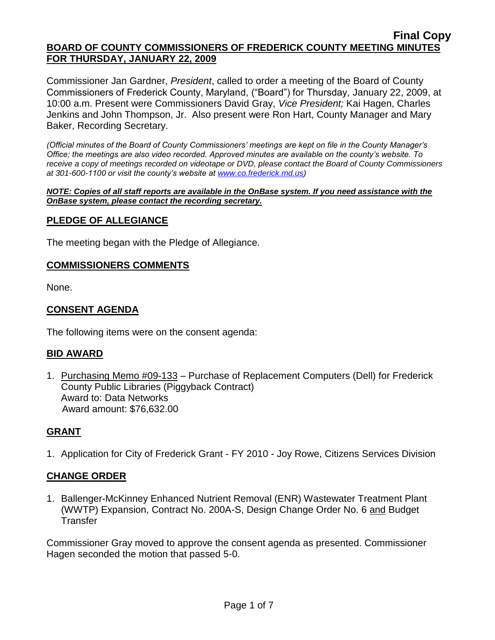Commissioner Jan Gardner, *President*, called to order a meeting of the Board of County Commissioners of Frederick County, Maryland, ("Board") for Thursday, January 22, 2009, at 10:00 a.m. Present were Commissioners David Gray, *Vice President;* Kai Hagen, Charles Jenkins and John Thompson, Jr. Also present were Ron Hart, County Manager and Mary Baker, Recording Secretary.

*(Official minutes of the Board of County Commissioners' meetings are kept on file in the County Manager's Office; the meetings are also video recorded. Approved minutes are available on the county's website. To receive a copy of meetings recorded on videotape or DVD, please contact the Board of County Commissioners at 301-600-1100 or visit the county's website at [www.co.frederick.md.us\)](http://www.co.frederick.md.us/)*

*NOTE: Copies of all staff reports are available in the OnBase system. If you need assistance with the OnBase system, please contact the recording secretary.*

### **PLEDGE OF ALLEGIANCE**

The meeting began with the Pledge of Allegiance.

#### **COMMISSIONERS COMMENTS**

None.

### **CONSENT AGENDA**

The following items were on the consent agenda:

#### **BID AWARD**

1. Purchasing Memo #09-133 – Purchase of Replacement Computers (Dell) for Frederick County Public Libraries (Piggyback Contract) Award to: Data Networks Award amount: \$76,632.00

#### **GRANT**

1. Application for City of Frederick Grant - FY 2010 - Joy Rowe, Citizens Services Division

### **CHANGE ORDER**

1. Ballenger-McKinney Enhanced Nutrient Removal (ENR) Wastewater Treatment Plant (WWTP) Expansion, Contract No. 200A-S, Design Change Order No. 6 and Budget **Transfer** 

Commissioner Gray moved to approve the consent agenda as presented. Commissioner Hagen seconded the motion that passed 5-0.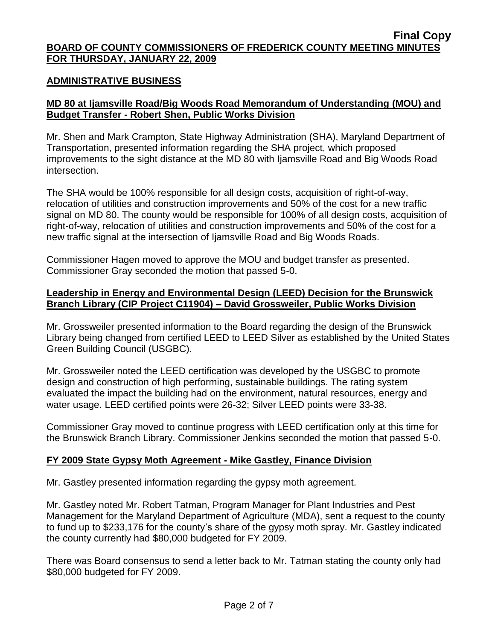#### **ADMINISTRATIVE BUSINESS**

# **MD 80 at Ijamsville Road/Big Woods Road Memorandum of Understanding (MOU) and Budget Transfer - Robert Shen, Public Works Division**

Mr. Shen and Mark Crampton, State Highway Administration (SHA), Maryland Department of Transportation, presented information regarding the SHA project, which proposed improvements to the sight distance at the MD 80 with Ijamsville Road and Big Woods Road intersection.

The SHA would be 100% responsible for all design costs, acquisition of right-of-way, relocation of utilities and construction improvements and 50% of the cost for a new traffic signal on MD 80. The county would be responsible for 100% of all design costs, acquisition of right-of-way, relocation of utilities and construction improvements and 50% of the cost for a new traffic signal at the intersection of Ijamsville Road and Big Woods Roads.

Commissioner Hagen moved to approve the MOU and budget transfer as presented. Commissioner Gray seconded the motion that passed 5-0.

### **Leadership in Energy and Environmental Design (LEED) Decision for the Brunswick Branch Library (CIP Project C11904) – David Grossweiler, Public Works Division**

Mr. Grossweiler presented information to the Board regarding the design of the Brunswick Library being changed from certified LEED to LEED Silver as established by the United States Green Building Council (USGBC).

Mr. Grossweiler noted the LEED certification was developed by the USGBC to promote design and construction of high performing, sustainable buildings. The rating system evaluated the impact the building had on the environment, natural resources, energy and water usage. LEED certified points were 26-32; Silver LEED points were 33-38.

Commissioner Gray moved to continue progress with LEED certification only at this time for the Brunswick Branch Library. Commissioner Jenkins seconded the motion that passed 5-0.

### **FY 2009 State Gypsy Moth Agreement - Mike Gastley, Finance Division**

Mr. Gastley presented information regarding the gypsy moth agreement.

Mr. Gastley noted Mr. Robert Tatman, Program Manager for Plant Industries and Pest Management for the Maryland Department of Agriculture (MDA), sent a request to the county to fund up to \$233,176 for the county's share of the gypsy moth spray. Mr. Gastley indicated the county currently had \$80,000 budgeted for FY 2009.

There was Board consensus to send a letter back to Mr. Tatman stating the county only had \$80,000 budgeted for FY 2009.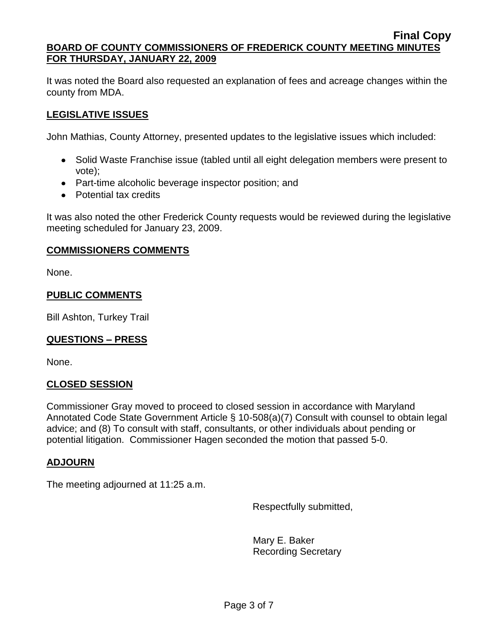It was noted the Board also requested an explanation of fees and acreage changes within the county from MDA.

# **LEGISLATIVE ISSUES**

John Mathias, County Attorney, presented updates to the legislative issues which included:

- Solid Waste Franchise issue (tabled until all eight delegation members were present to vote);
- Part-time alcoholic beverage inspector position; and
- Potential tax credits

It was also noted the other Frederick County requests would be reviewed during the legislative meeting scheduled for January 23, 2009.

# **COMMISSIONERS COMMENTS**

None.

# **PUBLIC COMMENTS**

Bill Ashton, Turkey Trail

# **QUESTIONS – PRESS**

None.

### **CLOSED SESSION**

Commissioner Gray moved to proceed to closed session in accordance with Maryland Annotated Code State Government Article § 10-508(a)(7) Consult with counsel to obtain legal advice; and (8) To consult with staff, consultants, or other individuals about pending or potential litigation. Commissioner Hagen seconded the motion that passed 5-0.

### **ADJOURN**

The meeting adjourned at 11:25 a.m.

Respectfully submitted,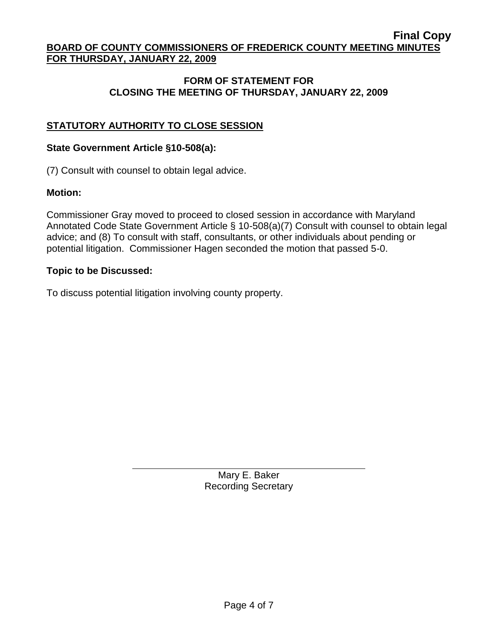## **FORM OF STATEMENT FOR CLOSING THE MEETING OF THURSDAY, JANUARY 22, 2009**

# **STATUTORY AUTHORITY TO CLOSE SESSION**

### **State Government Article §10-508(a):**

(7) Consult with counsel to obtain legal advice.

### **Motion:**

Commissioner Gray moved to proceed to closed session in accordance with Maryland Annotated Code State Government Article § 10-508(a)(7) Consult with counsel to obtain legal advice; and (8) To consult with staff, consultants, or other individuals about pending or potential litigation. Commissioner Hagen seconded the motion that passed 5-0.

#### **Topic to be Discussed:**

To discuss potential litigation involving county property.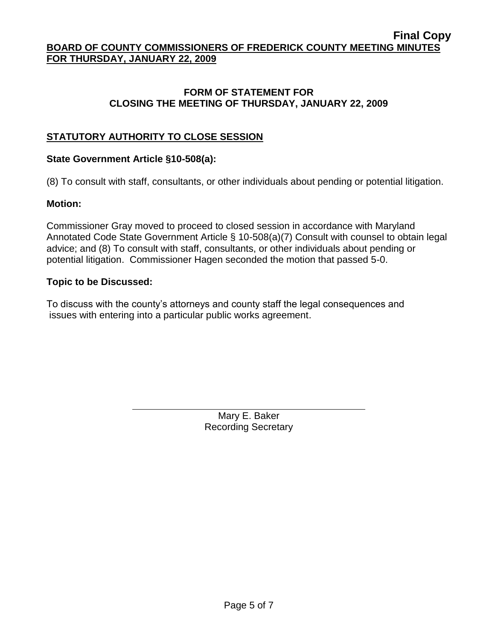## **FORM OF STATEMENT FOR CLOSING THE MEETING OF THURSDAY, JANUARY 22, 2009**

# **STATUTORY AUTHORITY TO CLOSE SESSION**

### **State Government Article §10-508(a):**

(8) To consult with staff, consultants, or other individuals about pending or potential litigation.

### **Motion:**

Commissioner Gray moved to proceed to closed session in accordance with Maryland Annotated Code State Government Article § 10-508(a)(7) Consult with counsel to obtain legal advice; and (8) To consult with staff, consultants, or other individuals about pending or potential litigation. Commissioner Hagen seconded the motion that passed 5-0.

### **Topic to be Discussed:**

To discuss with the county's attorneys and county staff the legal consequences and issues with entering into a particular public works agreement.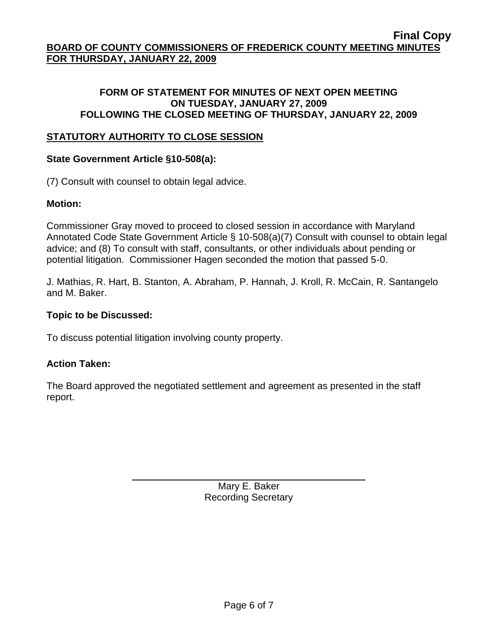## **FORM OF STATEMENT FOR MINUTES OF NEXT OPEN MEETING ON TUESDAY, JANUARY 27, 2009 FOLLOWING THE CLOSED MEETING OF THURSDAY, JANUARY 22, 2009**

## **STATUTORY AUTHORITY TO CLOSE SESSION**

# **State Government Article §10-508(a):**

(7) Consult with counsel to obtain legal advice.

# **Motion:**

Commissioner Gray moved to proceed to closed session in accordance with Maryland Annotated Code State Government Article § 10-508(a)(7) Consult with counsel to obtain legal advice; and (8) To consult with staff, consultants, or other individuals about pending or potential litigation. Commissioner Hagen seconded the motion that passed 5-0.

J. Mathias, R. Hart, B. Stanton, A. Abraham, P. Hannah, J. Kroll, R. McCain, R. Santangelo and M. Baker.

### **Topic to be Discussed:**

To discuss potential litigation involving county property.

### **Action Taken:**

The Board approved the negotiated settlement and agreement as presented in the staff report.